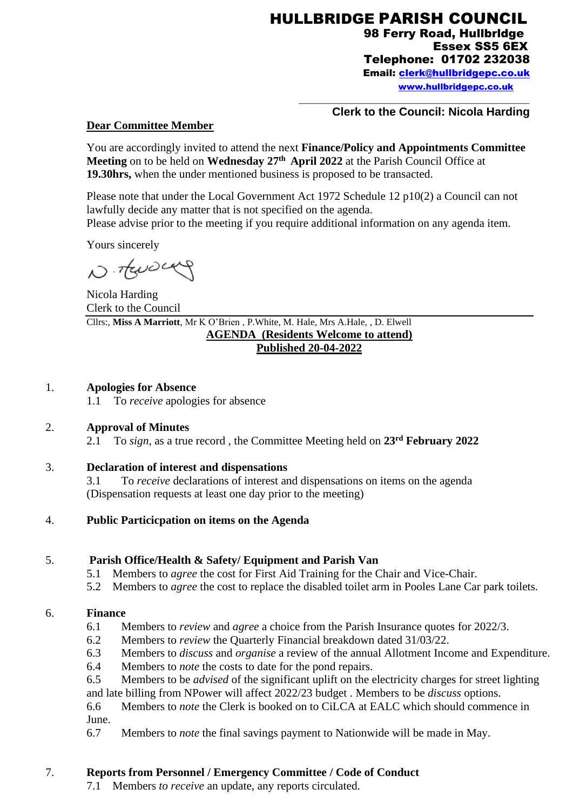HULLBRIDGE PARISH COUNCIL 98 Ferry Road, Hullbrldge Essex SS5 6EX Telephone: 01702 232038 Email: [clerk@hullbridgepc.co.uk](mailto:clerk@hullbridgepc.co.uk)  [www.hullbridgepc.co.uk](http://www.hullbridgepc.co.uk/)

\_\_\_\_\_\_\_\_\_\_\_\_\_\_\_\_\_\_\_\_\_\_\_\_\_\_\_\_\_\_\_\_\_\_\_\_\_\_\_\_\_\_\_\_\_\_\_\_

#### **Clerk to the Council: Nicola Harding**

#### **Dear Committee Member**

You are accordingly invited to attend the next **Finance/Policy and Appointments Committee Meeting** on to be held on **Wednesday 27 th April 2022** at the Parish Council Office at **19.30hrs,** when the under mentioned business is proposed to be transacted.

Please note that under the Local Government Act 1972 Schedule 12 p10(2) a Council can not lawfully decide any matter that is not specified on the agenda.

Please advise prior to the meeting if you require additional information on any agenda item.

Yours sincerely

N. TENDERY

Nicola Harding Clerk to the Council Cllrs:, **Miss A Marriott**, Mr K O'Brien , P.White, M. Hale, Mrs A.Hale, , D. Elwell **AGENDA (Residents Welcome to attend) Published 20-04-2022**

#### 1. **Apologies for Absence**

1.1 To *receive* apologies for absence

## 2. **Approval of Minutes**

2.1 To *sign,* as a true record , the Committee Meeting held on **23 rd February 2022**

## 3. **Declaration of interest and dispensations**

3.1 To *receive* declarations of interest and dispensations on items on the agenda (Dispensation requests at least one day prior to the meeting)

#### 4. **Public Particicpation on items on the Agenda**

## 5. **Parish Office/Health & Safety/ Equipment and Parish Van**

- 5.1 Members to *agree* the cost for First Aid Training for the Chair and Vice-Chair.
- 5.2 Members to *agree* the cost to replace the disabled toilet arm in Pooles Lane Car park toilets.

#### 6. **Finance**

- 6.1 Members to *review* and *agree* a choice from the Parish Insurance quotes for 2022/3.
- 6.2 Members to *review* the Quarterly Financial breakdown dated 31/03/22.
- 6.3 Members to *discuss* and *organise* a review of the annual Allotment Income and Expenditure.
- 6.4 Members to *note* the costs to date for the pond repairs.
- 6.5 Members to be *advised* of the significant uplift on the electricity charges for street lighting and late billing from NPower will affect 2022/23 budget . Members to be *discuss* options.

6.6 Members to *note* the Clerk is booked on to CiLCA at EALC which should commence in June.

6.7 Members to *note* the final savings payment to Nationwide will be made in May.

# 7. **Reports from Personnel / Emergency Committee / Code of Conduct**

7.1 Members *to receive* an update, any reports circulated.